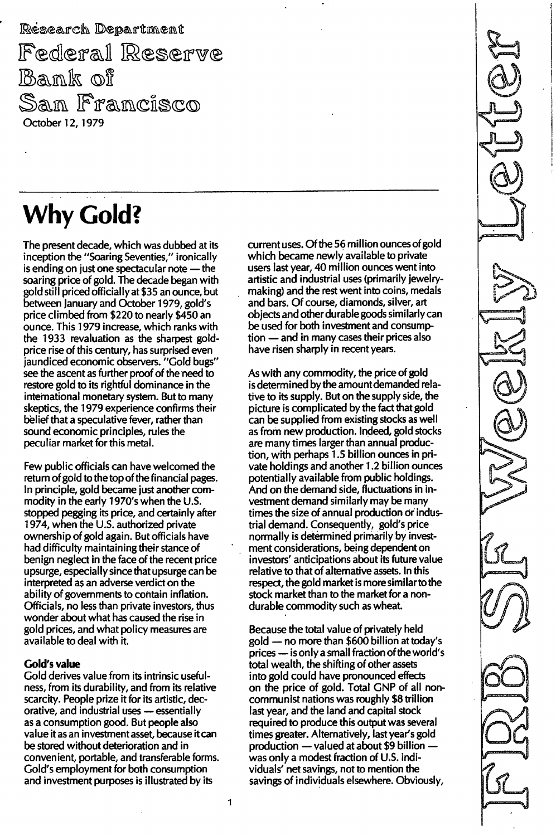Research Department Federal Reserve<br>Bank of San Francisco October 12, 1979

# Why Cold?

The present decade, which was dubbed at its inception the "Soaring Seventies," ironically is ending on just one spectacular note  $-$  the soaring price of gold. The decade began with gold still priced officially at \$35 an ounce, but between January and October 1979, gold's price climbed from \$220 to nearly \$450 an ounce. This 1979 increase, which ranks with the 1933 revaluation as the sharpest goldprice rise of this century, has surprised even jaundiced economic observers. "Gold bugs" see the ascent as further proof of the need to restore gold to its rightful dominance in the international monetary system. But to many skeptics, the 1979 experience confirms their belief that a speculative fever, rather than sound economic principles, rules the peculiar market for this metal.

Few public officials can have welcomed the return of gold to the top of the financial pages. In principle, gold became just another commodity in the early 1970's when the U.S. stopped pegging its price, and certainly after 1974, when the U.S. authorized private ownership of gold again. But officials have had difficulty maintaining their stance of benign neglect in the face of the recent price upsurge, especially since that upsurge can be interpreted as an adverse verdict on the ability of governments to contain inflation. Officials, no less than private investors, thus wonder about what has caused the rise in gold prices, and what policy measures are available to deal with it.

### Gold's value

Gold derives value from its intrinsic usefulness, from its durability, and from its relative scarcity. People prize it for its artistic, decorative, and industrial uses - essentially as a consumption good. But people also value it as an investment asset, because it can be stored without deterioration and in conven ient, portable, and transferable forms. Gold's employment for both consumption and investment purposes is illustrated by its

 $\mathbf{1}$ 

current uses. Of the 56 million ounces of gold which became newly available to private users last year, 40 million ounces went into artistic and industrial uses (primarily jewelrymaking) and the rest went into coins, medals and bars. Of course, diamonds, silver, art objects and other durable goods similarly can be used for both investment and consump $tion$   $-$  and in many cases their prices also have risen sharply in recent years.

As with any commodity, the price of gold is determined by the amount demanded relative to its supply. But on the supply side, the picture is complicated by the fact that gold can be supplied from existing stocks as well as from new production. Indeed, gold stocks are many times larger than annual production, with perhaps 1.5 billion ounces in private holdings and another 1.2 billion ounces potentially available from public holdings. And on the demand side, fluctuations in investment demand similarly may be many times the size of annual production or industrial demand. Consequently, gold's price normally is determined primarily by investment considerations, being dependent on investors' anticipations about its future value relative to that of alternative assets. In this respect, the gold market is more similarto the stock market than to the market for a nondurable commodity such as wheat.

Because the total value of privately held gold - no more than \$600 billion at today's prices - is only a small fraction of the world's total wealth, the shifting of other assets into gold could have pronounced effects on the price of gold. Total GNP of all noncommunist nations was roughly \$8 trillion last year, and the land and capital stock required to produce this output was several times greater. Alternatively, last year's gold production  $-$  valued at about \$9 billion  $$ was only a modest fraction of U.S. individuals' net savings, not to mention the savings of individuals elsewhere. Obviously,

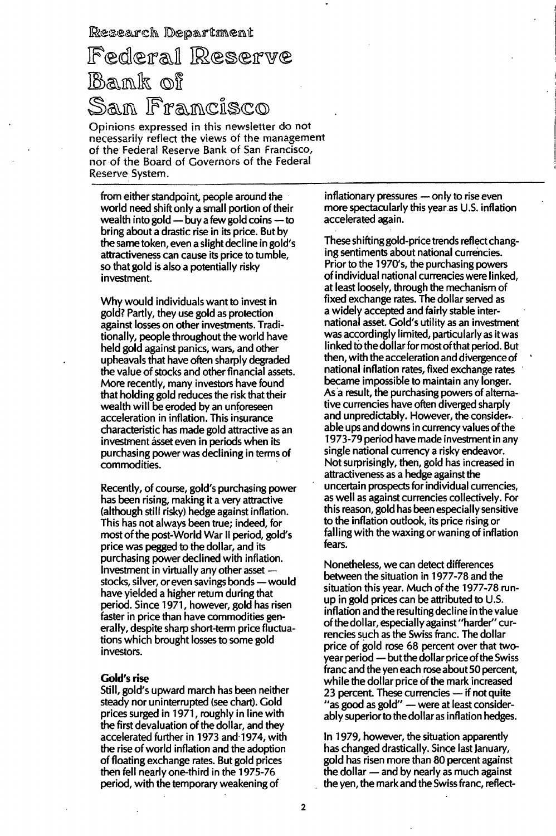Research Department

## Federal Reserve Bank of San Francisco

Opinions expressed in this newsletter do not necessarily reflect the views of the management of the Federal Reserve Bank of San Francisco, nor of the Board of Governors of the Federal Reserve System.

from either standpoint, people around the world need shift only a small portion of their wealth into gold  $-$  buy a few gold coins  $-$  to bring about a drastic rise in its price. But by the same token, even a slight decline in gold's attractiveness can cause its price to tumble, so that gold is also a potentially risky investment.

Why would individuals want to invest in gold? Partly, they use gold as protection against losses on other investments. Traditionally, people throughout the world have held gold against panics, wars, and other upheavals that have often sharply degraded the value of stocks and other financial assets. More recently, many investors have found that holding gold reduces the risk that their wealth will be eroded by an unforeseen acceleration in inflation. This insurance characteristic has made gold attractive as an investment asset even in periods when its purchasing power was declining in terms of commodities.

Recently, of course, gold's purchasing power has been rising, making it a very attractive (although still risky) hedge against inflation. This has not always been true; indeed, for most of the post-World War II period, gold's price was pegged to the dollar, and its purchasing power declined with inflation. Investment in virtually any other asset stocks, silver, or even savings bonds - would have yielded a higher return during that period. Since 1971, however, gold has risen faster in price than have commodities generally, despite sharp short-term price fluctuations which brought losses to some gold investors.

#### **Gold's rise**

Still, gold's upward march has been neither steady nor uninterrupted (see chart). Gold prices surged in 1971, roughly in line with the first devaluation of the dollar, and they accelerated further in 1973 and 1974, with the rise of world inflation and the adoption of floating exchange rates. But gold prices then fell nearly one-third in the 1975-76 period, with the temporary weakening of

inflationary pressures - only to rise even more spectacularly this year as U.S. inflation accelerated again.

These shifting gold-price trends reflect changing sentiments about national currencies. Prior to the 1970's, the purchasing powers of individual national currencies were linked, at least loosely, through the mechanism of fixed exchange rates. The dollar served as a widely accepted and fairly stable international asset. Gold's utility as an investment was accordingly limited, particularly as it was linked to the dollar for most of that period. But then, with the acceleration and divergence of national inflation rates, fixed exchange rates became impossible to maintain any longer. As a result, the purchasing powers of alternative currencies have often diverged sharply and unpredictably. However, the considerable ups and downs in currency values of the 1973-79 period have made investment in any single national currency a risky endeavor. Not surprisingly, then, gold has increased in attractiveness as a hedge against the uncertain prospects for individual currencies, as well as against currencies collectively. For this reason, gold has been especially sensitive to the inflation outlook, its price rising or falling with the waxing or waning of inflation fears.

Nonetheless, we can detect differences between the situation in 1977-78 and the situation this year. Much of the 1977-78 runup in gold prices can be attributed to U.S. inflation and the resulting decline in the value of the dollar, especially against "harder" currencies such as the Swiss franc. The dollar price of gold rose 68 percent over that twoyear period - but the dollar price of the Swiss franc and the yen each rose about 50 percent, while the dollar price of the mark increased 23 percent. These currencies - if not quite "as good as gold" - were at least considerably superior to the dollar as inflation hedges.

In 1979, however, the situation apparently has changed drastically. Since last January, gold has risen more than 80 percent against the dollar — and by nearly as much against the yen, the mark and the Swiss franc, reflect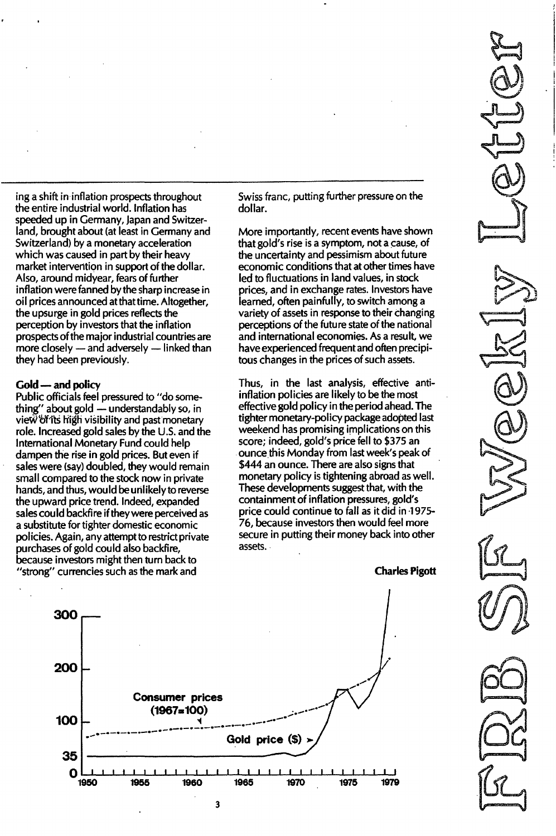ing a shift in inflation prospects throughout the entire industrial world. Inflation has speeded up in Germany, Japan and Switzerland, brought about (at least in Germany and Switzerland) by a monetary acceleration which was caused in part by their heavy market intervention in support of the dollar. Also, around midyear, fears of further inflation were fanned by the sharp increase in oil prices announced at that time. Altogether, the upsurge in gold prices reflects the perception by investors that the inflation prospects of the major industrial countries are more closely  $-$  and adversely  $-$  linked than they had been previously.

#### Gold - and policy

Public officials feel pressured to "do something" about gold - understandably so, in view"df'its high visibility and past monetary role. Increased gold sales by the U.S. and the International Monetary Fund could help dampen the rise in gold prices. But even if sales were (say) doubled, they would remain small compared to the stock now in private hands, and thus, would be unlikely to reverse the upward price trend. Indeed, expanded sales could backfire if they were perceived as a substitute for tighter domestic economic policies. Again, any attempt to restrict private purchases of gold could also backfire, because investors might then turn back to "strong" currencies such as the mark and

Swiss fianc, putting further pressure on the dollar.

More importantly, recent events have shown that gold's rise is a symptom, not a cause, of the uncertainty and pessimism about future economic conditions that at other times have led to fluctuations in land values, in stock prices, and in exchange rates. Investors have learned, often painfully, to switch among a variety of assets in response to their changing perceptions of the future state of the national and international economies. As a result, we have experienced frequent and often precipitous changes in the prices of such assets.

Thus, in the last analysis, effective antiinflation policies are likely to be the most effective gold policy in the period ahead. The tighter monetary-policy package adopted last weekend has promising implications on this score; indeed, gold's price fell to \$375 an ounce this Monday from last week's peak of \$444 an ounce. There are also signs that monetary policy is tightening abroad as well. These developments suggest that, with the containment of inflation pressures, gold's price could continue to fall as it did in -1975- 76, because investors then would feel more secure in putting their money back into other assets.

Charles Pigott